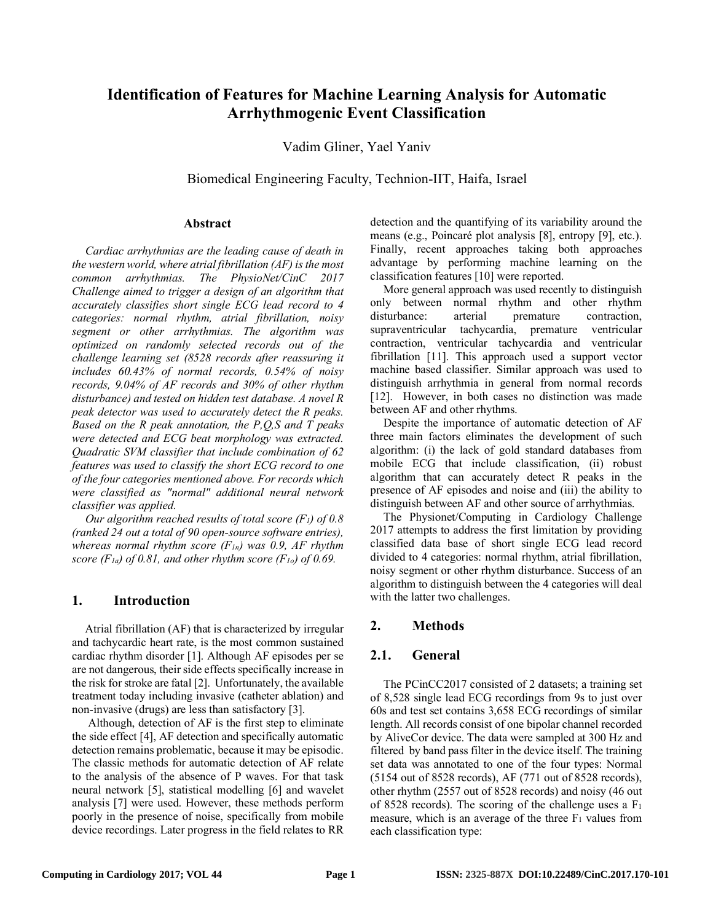# **Identification of Features for Machine Learning Analysis for Automatic Arrhythmogenic Event Classification**

Vadim Gliner, Yael Yaniv

Biomedical Engineering Faculty, Technion-IIT, Haifa, Israel

#### **Abstract**

*Cardiac arrhythmias are the leading cause of death in the western world, where atrial fibrillation (AF) is the most common arrhythmias. The PhysioNet/CinC 2017 Challenge aimed to trigger a design of an algorithm that accurately classifies short single ECG lead record to 4 categories: normal rhythm, atrial fibrillation, noisy segment or other arrhythmias. The algorithm was optimized on randomly selected records out of the challenge learning set (8528 records after reassuring it includes 60.43% of normal records, 0.54% of noisy records, 9.04% of AF records and 30% of other rhythm disturbance) and tested on hidden test database. A novel R peak detector was used to accurately detect the R peaks. Based on the R peak annotation, the P,Q,S and T peaks were detected and ECG beat morphology was extracted. Quadratic SVM classifier that include combination of 62 features was used to classify the short ECG record to one of the four categories mentioned above. For records which were classified as "normal" additional neural network classifier was applied.* 

*Our algorithm reached results of total score (F1) of 0.8 (ranked 24 out a total of 90 open-source software entries), whereas normal rhythm score (F1n) was 0.9, AF rhythm score*  $(F_{1a})$  of 0.81, and other rhythm score  $(F_{1a})$  of 0.69.

#### **1. Introduction**

Atrial fibrillation (AF) that is characterized by irregular and tachycardic heart rate, is the most common sustained cardiac rhythm disorder [1]. Although AF episodes per se are not dangerous, their side effects specifically increase in the risk for stroke are fatal [2]. Unfortunately, the available treatment today including invasive (catheter ablation) and non-invasive (drugs) are less than satisfactory [3].

Although, detection of AF is the first step to eliminate the side effect [4], AF detection and specifically automatic detection remains problematic, because it may be episodic. The classic methods for automatic detection of AF relate to the analysis of the absence of P waves. For that task neural network [5], statistical modelling [6] and wavelet analysis [7] were used. However, these methods perform poorly in the presence of noise, specifically from mobile device recordings. Later progress in the field relates to RR

detection and the quantifying of its variability around the means (e.g., Poincaré plot analysis [8], entropy [9], etc.). Finally, recent approaches taking both approaches advantage by performing machine learning on the classification features [10] were reported.

More general approach was used recently to distinguish only between normal rhythm and other rhythm disturbance: arterial premature contraction, supraventricular tachycardia, premature ventricular contraction, ventricular tachycardia and ventricular fibrillation [11]. This approach used a support vector machine based classifier. Similar approach was used to distinguish arrhythmia in general from normal records [12]. However, in both cases no distinction was made between AF and other rhythms.

Despite the importance of automatic detection of AF three main factors eliminates the development of such algorithm: (i) the lack of gold standard databases from mobile ECG that include classification, (ii) robust algorithm that can accurately detect R peaks in the presence of AF episodes and noise and (iii) the ability to distinguish between AF and other source of arrhythmias.

The Physionet/Computing in Cardiology Challenge 2017 attempts to address the first limitation by providing classified data base of short single ECG lead record divided to 4 categories: normal rhythm, atrial fibrillation, noisy segment or other rhythm disturbance. Success of an algorithm to distinguish between the 4 categories will deal with the latter two challenges.

## **2. Methods**

### **2.1. General**

The PCinCC2017 consisted of 2 datasets; a training set of 8,528 single lead ECG recordings from 9s to just over 60s and test set contains 3,658 ECG recordings of similar length. All records consist of one bipolar channel recorded by AliveCor device. The data were sampled at 300 Hz and filtered by band pass filter in the device itself. The training set data was annotated to one of the four types: Normal (5154 out of 8528 records), AF (771 out of 8528 records), other rhythm (2557 out of 8528 records) and noisy (46 out of 8528 records). The scoring of the challenge uses a  $F_1$ measure, which is an average of the three  $F_1$  values from each classification type: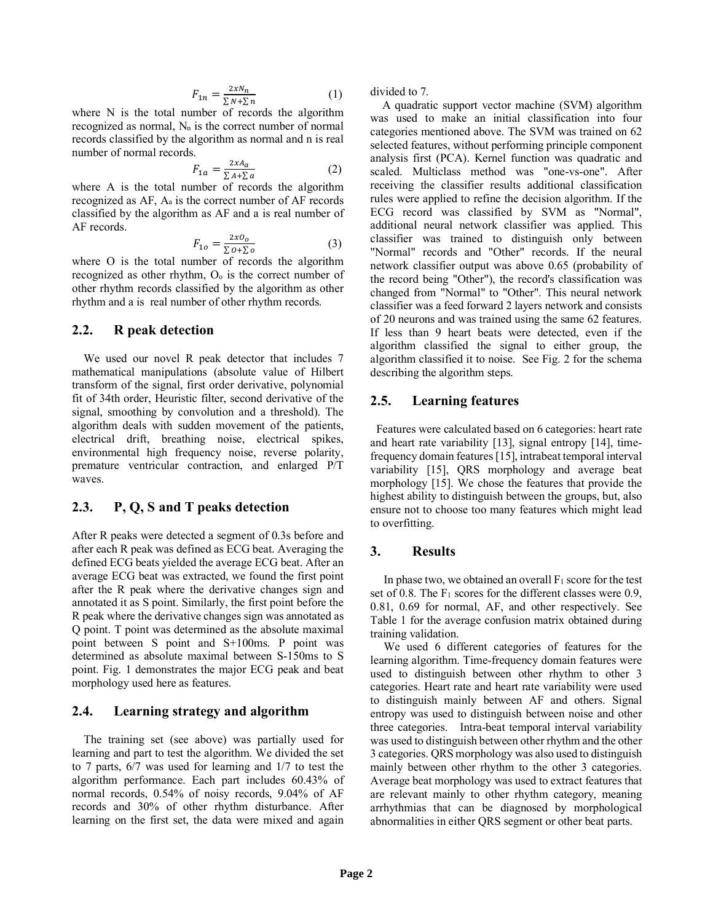$$
F_{1n} = \frac{2xN_n}{\sum N + \sum n}
$$
 (1)

where N is the total number of records the algorithm recognized as normal,  $N_n$  is the correct number of normal records classified by the algorithm as normal and n is real number of normal records.

$$
F_{1a} = \frac{2xA_a}{\sum A + \sum a} \tag{2}
$$

where A is the total number of records the algorithm recognized as AF, Aa is the correct number of AF records classified by the algorithm as AF and a is real number of AF records.

$$
F_{1o} = \frac{2x0_o}{\sum o + \sum o} \tag{3}
$$

where O is the total number of records the algorithm recognized as other rhythm, Oo is the correct number of other rhythm records classified by the algorithm as other rhythm and a is real number of other rhythm records.

#### **2.2. R peak detection**

 We used our novel R peak detector that includes 7 mathematical manipulations (absolute value of Hilbert transform of the signal, first order derivative, polynomial fit of 34th order, Heuristic filter, second derivative of the signal, smoothing by convolution and a threshold). The algorithm deals with sudden movement of the patients, electrical drift, breathing noise, electrical spikes, environmental high frequency noise, reverse polarity, premature ventricular contraction, and enlarged P/T waves.

#### **2.3. P, Q, S and T peaks detection**

After R peaks were detected a segment of 0.3s before and after each R peak was defined as ECG beat. Averaging the defined ECG beats yielded the average ECG beat. After an average ECG beat was extracted, we found the first point after the R peak where the derivative changes sign and annotated it as S point. Similarly, the first point before the R peak where the derivative changes sign was annotated as Q point. T point was determined as the absolute maximal point between S point and S+100ms. P point was determined as absolute maximal between S-150ms to S point. Fig. 1 demonstrates the major ECG peak and beat morphology used here as features.

#### **2.4. Learning strategy and algorithm**

 The training set (see above) was partially used for learning and part to test the algorithm. We divided the set to 7 parts, 6/7 was used for learning and 1/7 to test the algorithm performance. Each part includes 60.43% of normal records, 0.54% of noisy records, 9.04% of AF records and 30% of other rhythm disturbance. After learning on the first set, the data were mixed and again

divided to 7.

 A quadratic support vector machine (SVM) algorithm was used to make an initial classification into four categories mentioned above. The SVM was trained on 62 selected features, without performing principle component analysis first (PCA). Kernel function was quadratic and scaled. Multiclass method was "one-vs-one". After receiving the classifier results additional classification rules were applied to refine the decision algorithm. If the ECG record was classified by SVM as "Normal", additional neural network classifier was applied. This classifier was trained to distinguish only between "Normal" records and "Other" records. If the neural network classifier output was above 0.65 (probability of the record being "Other"), the record's classification was changed from "Normal" to "Other". This neural network classifier was a feed forward 2 layers network and consists of 20 neurons and was trained using the same 62 features. If less than 9 heart beats were detected, even if the algorithm classified the signal to either group, the algorithm classified it to noise. See Fig. 2 for the schema describing the algorithm steps.

#### **2.5. Learning features**

 Features were calculated based on 6 categories: heart rate and heart rate variability [13], signal entropy [14], timefrequency domain features[15], intrabeat temporal interval variability [15], QRS morphology and average beat morphology [15]. We chose the features that provide the highest ability to distinguish between the groups, but, also ensure not to choose too many features which might lead to overfitting.

#### **3. Results**

In phase two, we obtained an overall  $F_1$  score for the test set of 0.8. The  $F_1$  scores for the different classes were 0.9, 0.81, 0.69 for normal, AF, and other respectively. See Table 1 for the average confusion matrix obtained during training validation.

We used 6 different categories of features for the learning algorithm. Time-frequency domain features were used to distinguish between other rhythm to other 3 categories. Heart rate and heart rate variability were used to distinguish mainly between AF and others. Signal entropy was used to distinguish between noise and other three categories. Intra-beat temporal interval variability was used to distinguish between other rhythm and the other 3 categories. QRS morphology was also used to distinguish mainly between other rhythm to the other 3 categories. Average beat morphology was used to extract features that are relevant mainly to other rhythm category, meaning arrhythmias that can be diagnosed by morphological abnormalities in either QRS segment or other beat parts.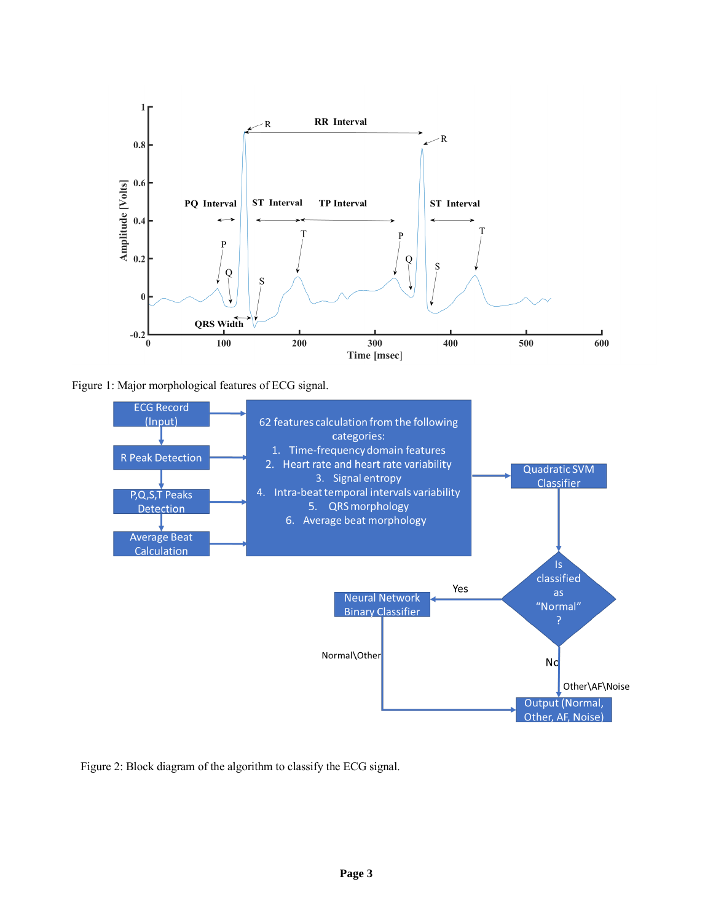

Figure 1: Major morphological features of ECG signal.



Figure 2: Block diagram of the algorithm to classify the ECG signal.